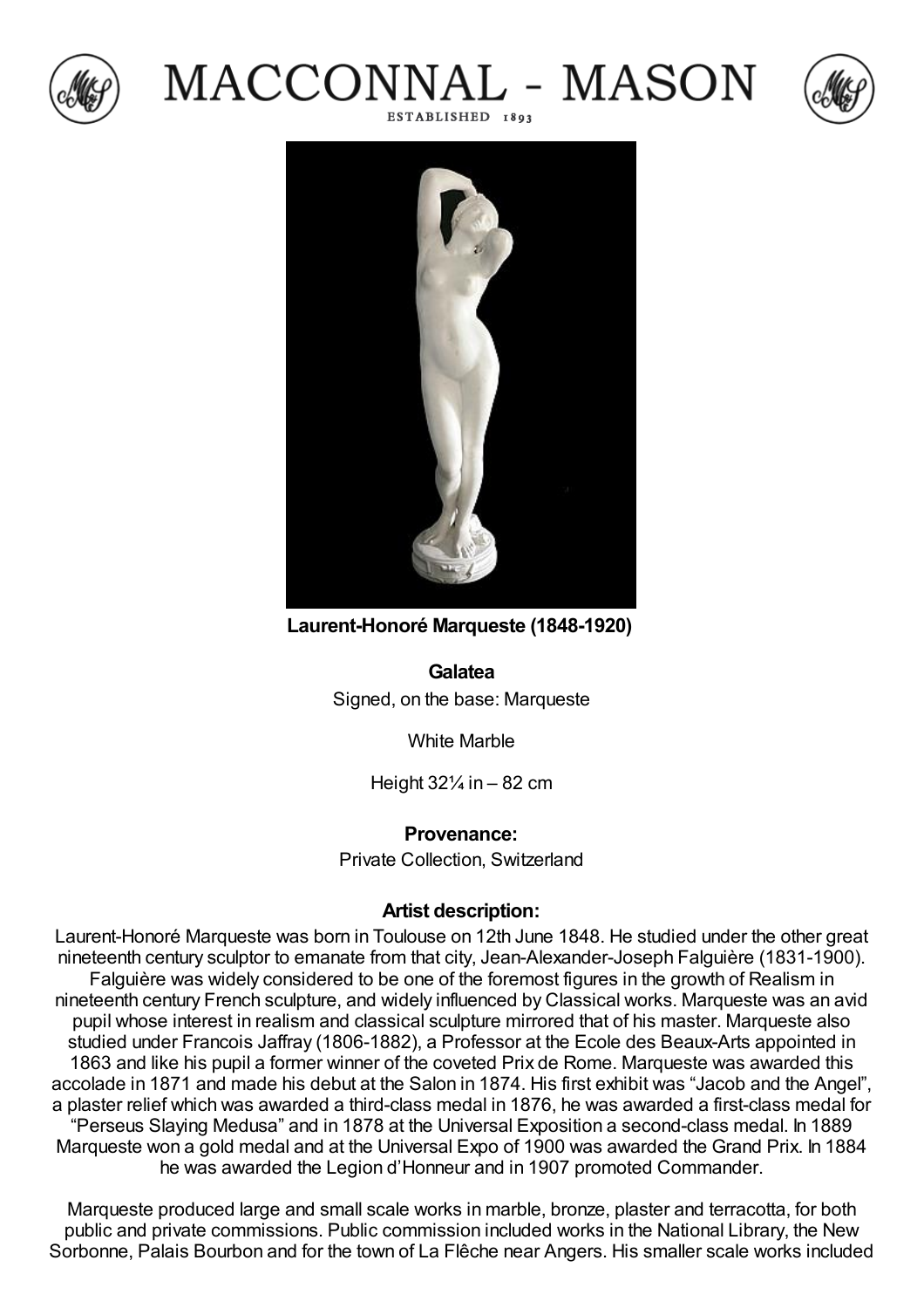

## MACCONNAL - MASON ESTABLISHED 1893





**Laurent-Honoré Marqueste (1848-1920)**

**Galatea** Signed, on the base: Marqueste

White Marble

Height  $32\frac{1}{4}$  in  $-82$  cm

## **Provenance:**

Private Collection, Switzerland

## **Artist description:**

Laurent-Honoré Marqueste was born in Toulouse on 12th June 1848. He studied under the other great nineteenth century sculptor to emanate from that city, Jean-Alexander-Joseph Falguière (1831-1900). Falguière was widely considered to be one of the foremost figures in the growth of Realism in nineteenth century French sculpture, and widely influenced by Classical works. Marqueste was an avid pupil whose interest in realism and classical sculpture mirrored that of his master. Marqueste also studied under Francois Jaffray (1806-1882), a Professor at the Ecole des Beaux-Arts appointed in 1863 and like his pupil a former winner of the coveted Prix de Rome. Marqueste was awarded this accolade in 1871 and made his debut at the Salon in 1874. His first exhibit was "Jacob and the Angel", a plaster relief which was awarded a third-class medal in 1876, he was awarded a first-class medal for "Perseus Slaying Medusa" and in 1878 at the Universal Exposition a second-class medal. In 1889 Marqueste won a gold medal and at the Universal Expo of 1900 was awarded the Grand Prix. In 1884 he was awarded the Legion d'Honneur and in 1907 promoted Commander.

Marqueste produced large and small scale works in marble, bronze, plaster and terracotta, for both public and private commissions. Public commission included works in the National Library, the New Sorbonne, Palais Bourbon and for the town of La Flêche near Angers. His smaller scale works included